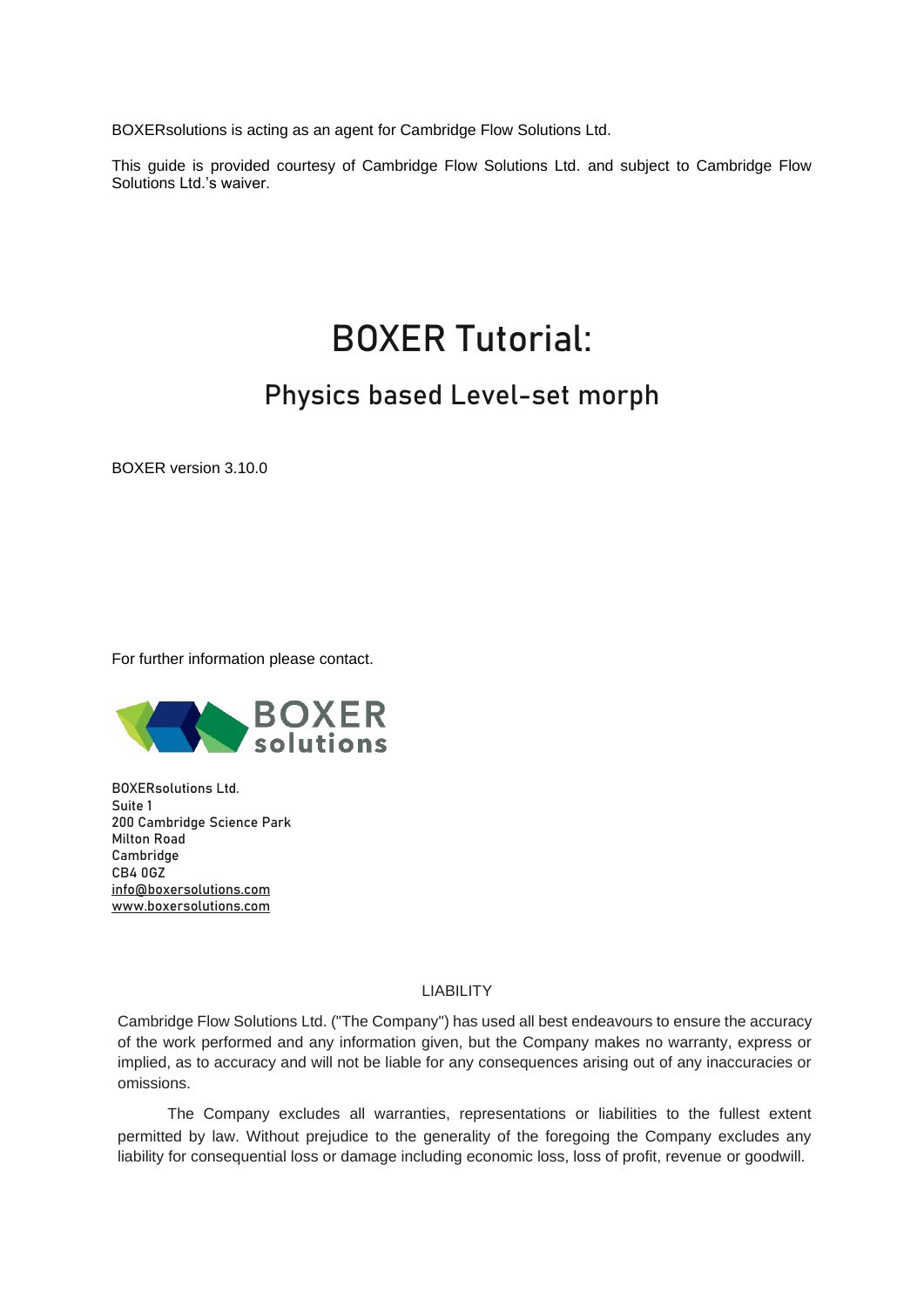BOXERsolutions is acting as an agent for Cambridge Flow Solutions Ltd.

This guide is provided courtesy of Cambridge Flow Solutions Ltd. and subject to Cambridge Flow Solutions Ltd.'s waiver.

# BOXER Tutorial:

# Physics based Level-set morph

BOXER version 3.10.0

For further information please contact.



BOXERsolutions Ltd. Suite 1 200 Cambridge Science Park Milton Road Cambridge CB4 0GZ [info@boxersolutions.com](mailto:info@boxersolutions.com) [www.boxersolutions.com](http://www.boxersolutions.com/)

#### LIABILITY

Cambridge Flow Solutions Ltd. ("The Company") has used all best endeavours to ensure the accuracy of the work performed and any information given, but the Company makes no warranty, express or implied, as to accuracy and will not be liable for any consequences arising out of any inaccuracies or omissions.

The Company excludes all warranties, representations or liabilities to the fullest extent permitted by law. Without prejudice to the generality of the foregoing the Company excludes any liability for consequential loss or damage including economic loss, loss of profit, revenue or goodwill.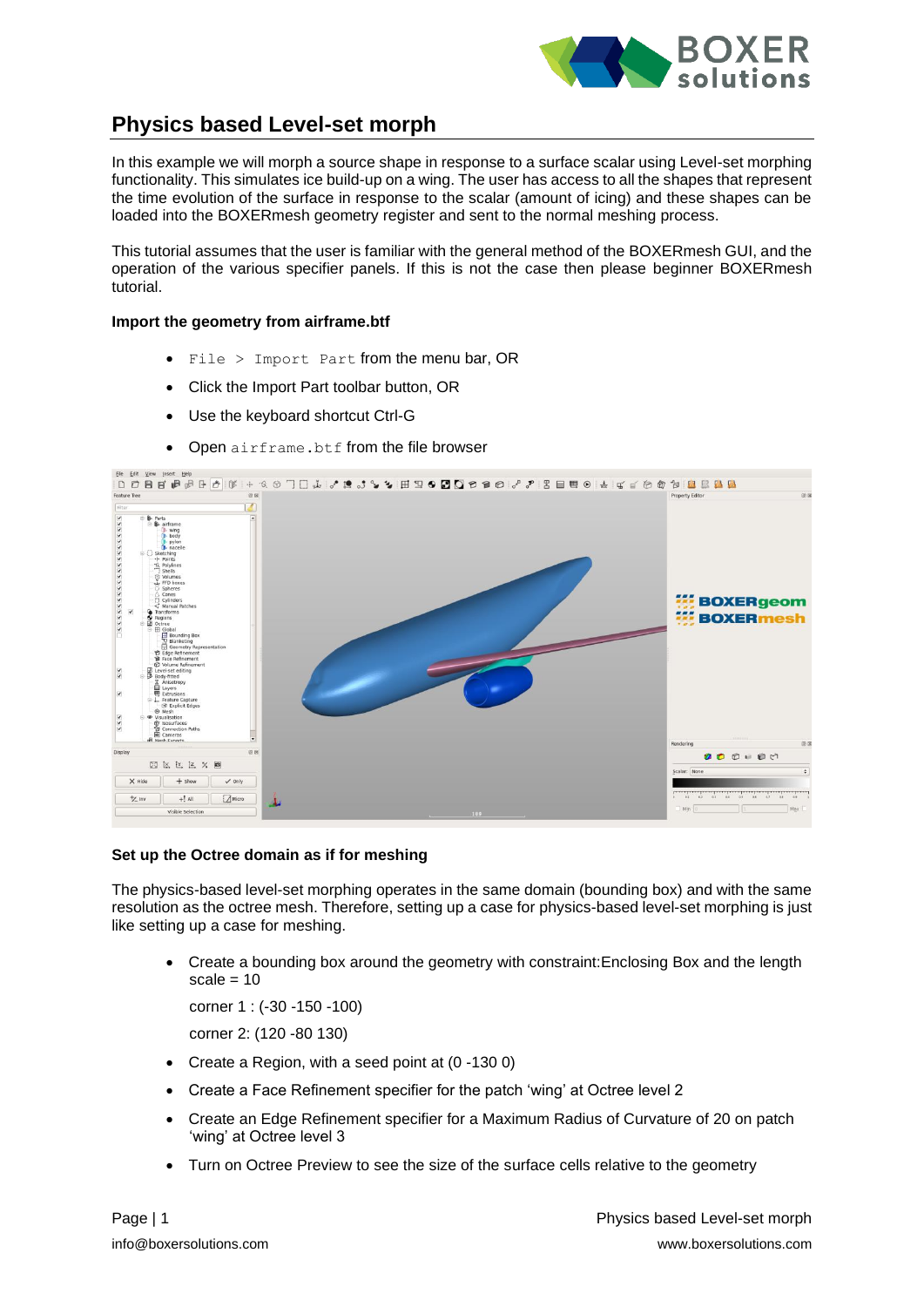

### **Physics based Level-set morph**

In this example we will morph a source shape in response to a surface scalar using Level-set morphing functionality. This simulates ice build-up on a wing. The user has access to all the shapes that represent the time evolution of the surface in response to the scalar (amount of icing) and these shapes can be loaded into the BOXERmesh geometry register and sent to the normal meshing process.

This tutorial assumes that the user is familiar with the general method of the BOXERmesh GUI, and the operation of the various specifier panels. If this is not the case then please beginner BOXERmesh tutorial.

#### **Import the geometry from airframe.btf**

- File > Import Part from the menu bar, OR
- Click the Import Part toolbar button, OR
- Use the keyboard shortcut Ctrl-G
- Open airframe.btf from the file browser



#### **Set up the Octree domain as if for meshing**

The physics-based level-set morphing operates in the same domain (bounding box) and with the same resolution as the octree mesh. Therefore, setting up a case for physics-based level-set morphing is just like setting up a case for meshing.

• Create a bounding box around the geometry with constraint:Enclosing Box and the length scale  $= 10$ 

corner 1 : (-30 -150 -100)

corner 2: (120 -80 130)

- Create a Region, with a seed point at (0 -130 0)
- Create a Face Refinement specifier for the patch 'wing' at Octree level 2
- Create an Edge Refinement specifier for a Maximum Radius of Curvature of 20 on patch 'wing' at Octree level 3
- Turn on Octree Preview to see the size of the surface cells relative to the geometry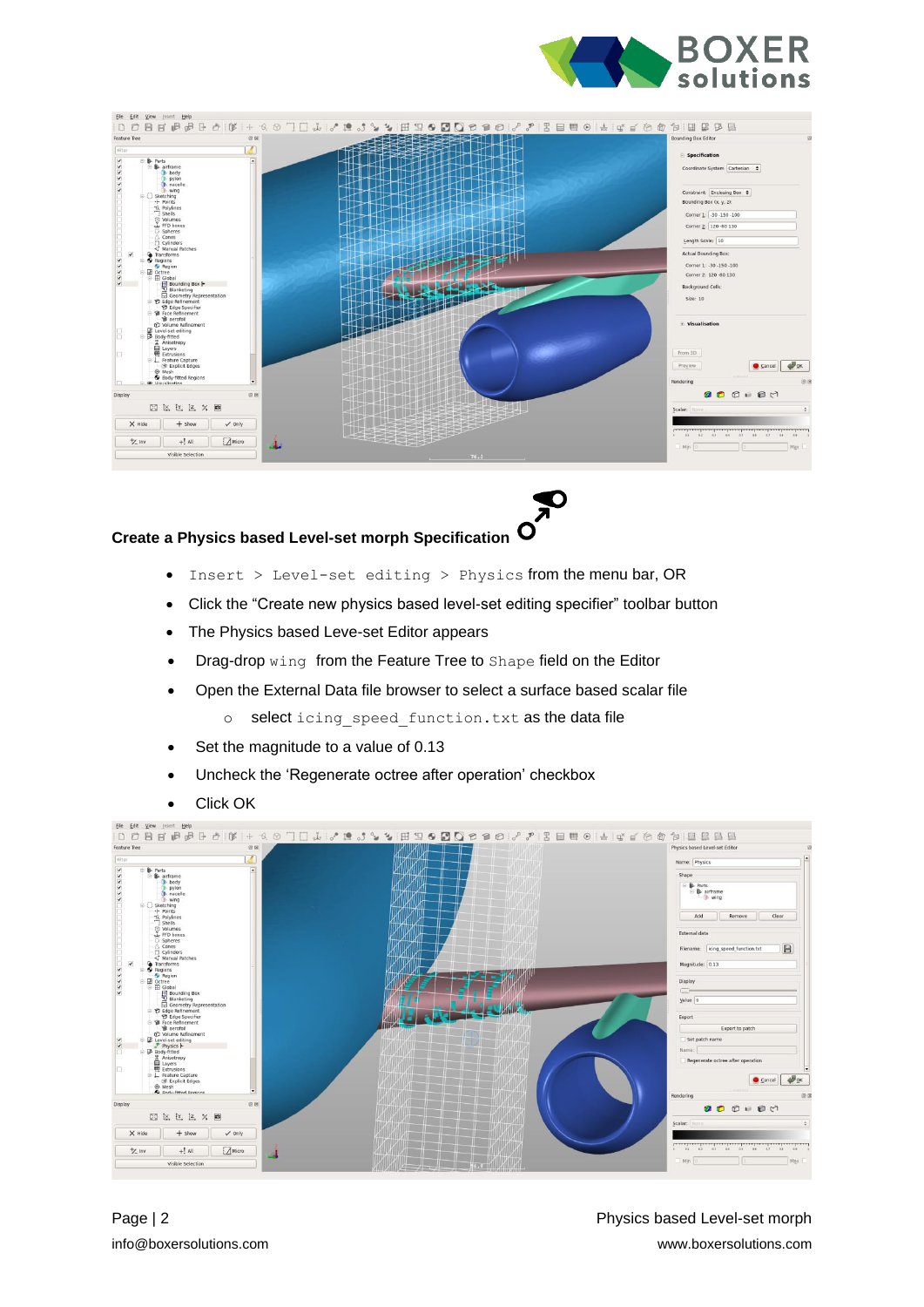



## **Create a Physics based Level-set morph Specification**

- Insert > Level-set editing > Physics from the menu bar, OR
- Click the "Create new physics based level-set editing specifier" toolbar button
- The Physics based Leve-set Editor appears
- Drag-drop wing from the Feature Tree to Shape field on the Editor
- Open the External Data file browser to select a surface based scalar file
	- o select icing speed function.txt as the data file
- Set the magnitude to a value of 0.13
- Uncheck the 'Regenerate octree after operation' checkbox
- Click OK

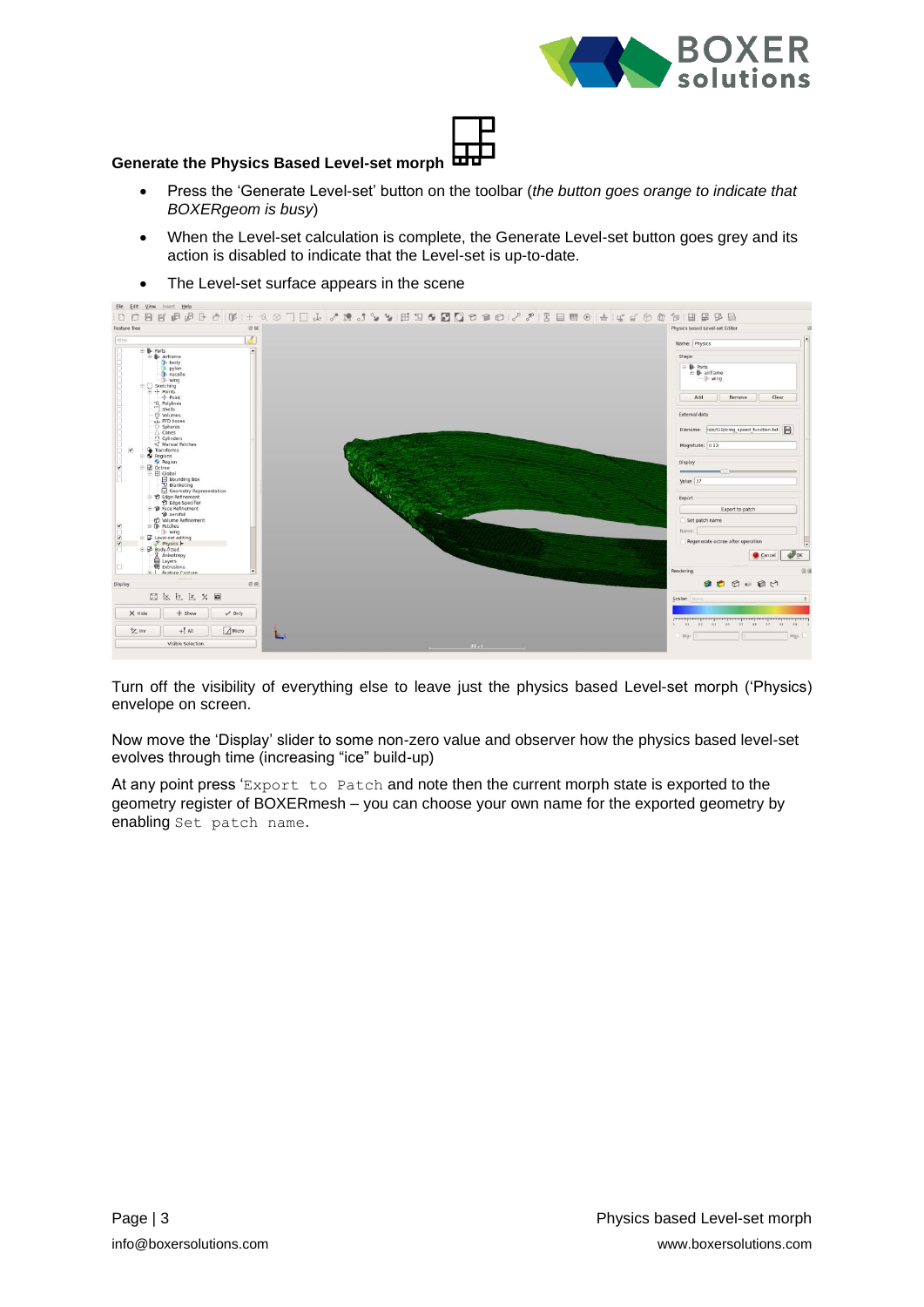

#### **Generate the Physics Based Level-set morph**

- Press the 'Generate Level-set' button on the toolbar (*the button goes orange to indicate that BOXERgeom is busy*)
- When the Level-set calculation is complete, the Generate Level-set button goes grey and its action is disabled to indicate that the Level-set is up-to-date.



• The Level-set surface appears in the scene

Turn off the visibility of everything else to leave just the physics based Level-set morph ('Physics) envelope on screen.

Now move the 'Display' slider to some non-zero value and observer how the physics based level-set evolves through time (increasing "ice" build-up)

At any point press 'Export to Patch and note then the current morph state is exported to the geometry register of BOXERmesh – you can choose your own name for the exported geometry by enabling Set patch name.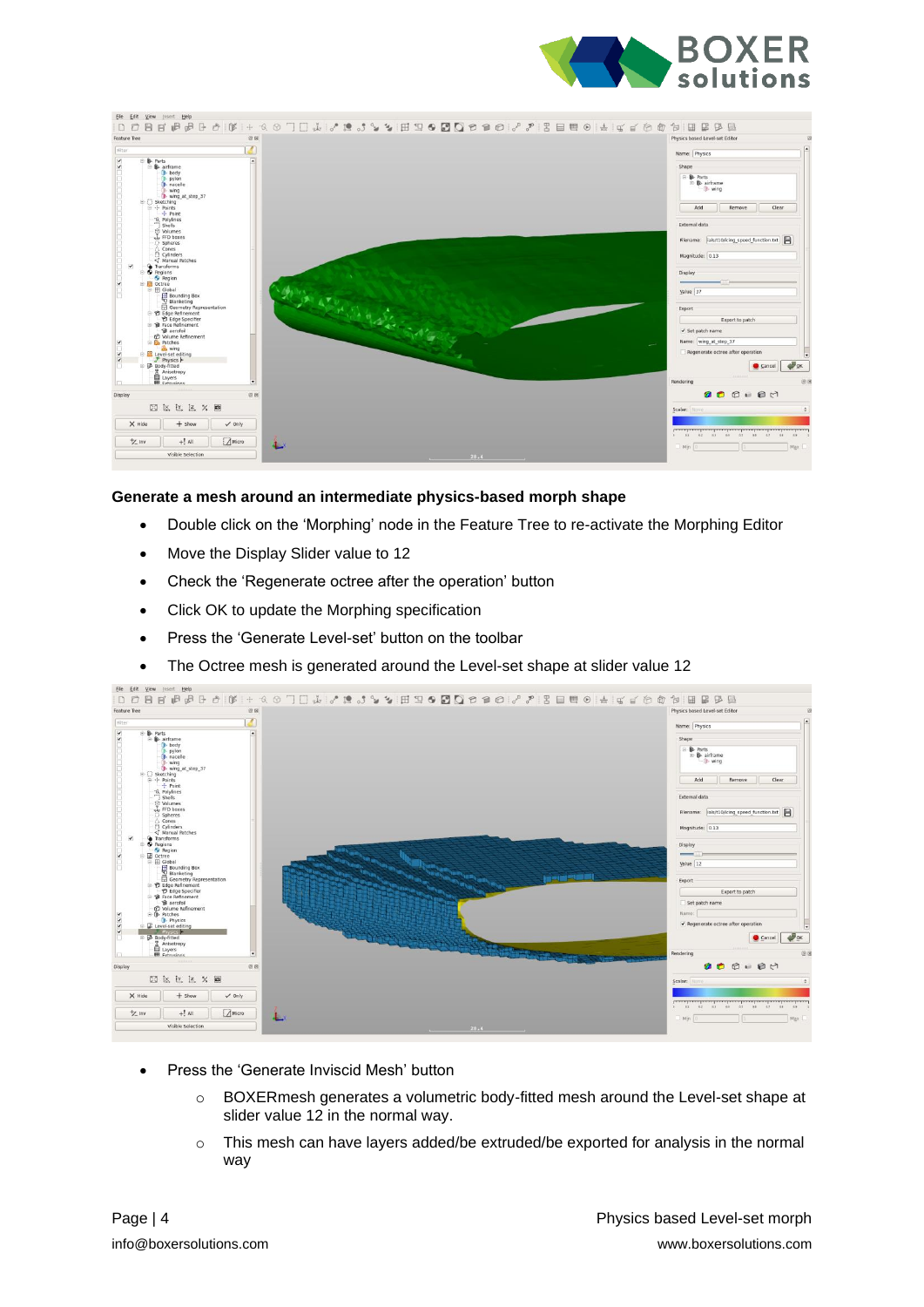



#### **Generate a mesh around an intermediate physics-based morph shape**

- Double click on the 'Morphing' node in the Feature Tree to re-activate the Morphing Editor
- Move the Display Slider value to 12
- Check the 'Regenerate octree after the operation' button
- Click OK to update the Morphing specification
- Press the 'Generate Level-set' button on the toolbar
- The Octree mesh is generated around the Level-set shape at slider value 12



- Press the 'Generate Inviscid Mesh' button
	- $\circ$  BOXER mesh generates a volumetric body-fitted mesh around the Level-set shape at slider value 12 in the normal way.
	- $\circ$  This mesh can have layers added/be extruded/be exported for analysis in the normal way